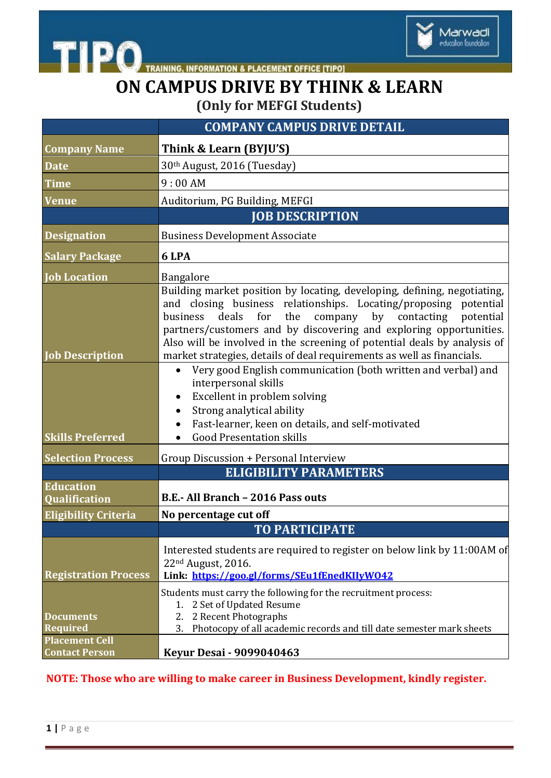

THE PO TRAINING, INFORMATION & PLACEMENT OFFICE [TIPO]

## **ON CAMPUS DRIVE BY THINK & LEARN (Only for MEFGI Students)**

|                                                              | <b>COMPANY CAMPUS DRIVE DETAIL</b>                                                                                                                                                                                                                                                                                                                                                                                                                                                                                                                                               |
|--------------------------------------------------------------|----------------------------------------------------------------------------------------------------------------------------------------------------------------------------------------------------------------------------------------------------------------------------------------------------------------------------------------------------------------------------------------------------------------------------------------------------------------------------------------------------------------------------------------------------------------------------------|
| <b>Company Name</b>                                          | Think & Learn (BYJU'S)                                                                                                                                                                                                                                                                                                                                                                                                                                                                                                                                                           |
| <b>Date</b>                                                  | 30th August, 2016 (Tuesday)                                                                                                                                                                                                                                                                                                                                                                                                                                                                                                                                                      |
| <b>Time</b>                                                  | 9:00AM                                                                                                                                                                                                                                                                                                                                                                                                                                                                                                                                                                           |
| <b>Venue</b>                                                 | Auditorium, PG Building, MEFGI                                                                                                                                                                                                                                                                                                                                                                                                                                                                                                                                                   |
|                                                              | <b>JOB DESCRIPTION</b>                                                                                                                                                                                                                                                                                                                                                                                                                                                                                                                                                           |
| <b>Designation</b>                                           | <b>Business Development Associate</b>                                                                                                                                                                                                                                                                                                                                                                                                                                                                                                                                            |
| <b>Salary Package</b>                                        | 6 LPA                                                                                                                                                                                                                                                                                                                                                                                                                                                                                                                                                                            |
| <b>Job Location</b>                                          | Bangalore                                                                                                                                                                                                                                                                                                                                                                                                                                                                                                                                                                        |
| <b>Job Description</b>                                       | Building market position by locating, developing, defining, negotiating,<br>and closing business relationships. Locating/proposing potential<br>business deals for the<br>company by contacting potential<br>partners/customers and by discovering and exploring opportunities.<br>Also will be involved in the screening of potential deals by analysis of<br>market strategies, details of deal requirements as well as financials.<br>Very good English communication (both written and verbal) and<br>$\bullet$<br>interpersonal skills<br>Excellent in problem solving<br>٠ |
|                                                              | Strong analytical ability<br>$\bullet$                                                                                                                                                                                                                                                                                                                                                                                                                                                                                                                                           |
|                                                              | Fast-learner, keen on details, and self-motivated                                                                                                                                                                                                                                                                                                                                                                                                                                                                                                                                |
| <b>Skills Preferred</b>                                      | <b>Good Presentation skills</b><br>$\bullet$                                                                                                                                                                                                                                                                                                                                                                                                                                                                                                                                     |
| <b>Selection Process</b>                                     | Group Discussion + Personal Interview                                                                                                                                                                                                                                                                                                                                                                                                                                                                                                                                            |
|                                                              | <b>ELIGIBILITY PARAMETERS</b>                                                                                                                                                                                                                                                                                                                                                                                                                                                                                                                                                    |
| <b>Education</b><br><b>Qualification</b>                     | B.E.- All Branch - 2016 Pass outs                                                                                                                                                                                                                                                                                                                                                                                                                                                                                                                                                |
| <b>Eligibility Criteria</b>                                  | No percentage cut off                                                                                                                                                                                                                                                                                                                                                                                                                                                                                                                                                            |
|                                                              | <b>TO PARTICIPATE</b>                                                                                                                                                                                                                                                                                                                                                                                                                                                                                                                                                            |
| <b>Registration Process</b>                                  | Interested students are required to register on below link by 11:00AM of<br>22 <sup>nd</sup> August, 2016.<br>Link: https://goo.gl/forms/SEu1fEnedKIIvW042                                                                                                                                                                                                                                                                                                                                                                                                                       |
| <b>Documents</b><br><b>Required</b><br><b>Placement Cell</b> | Students must carry the following for the recruitment process:<br>2 Set of Updated Resume<br>1.<br>2 Recent Photographs<br>2.<br>Photocopy of all academic records and till date semester mark sheets<br>3.                                                                                                                                                                                                                                                                                                                                                                      |
| <b>Contact Person</b>                                        | <b>Keyur Desai - 9099040463</b>                                                                                                                                                                                                                                                                                                                                                                                                                                                                                                                                                  |

## **NOTE: Those who are willing to make career in Business Development, kindly register.**